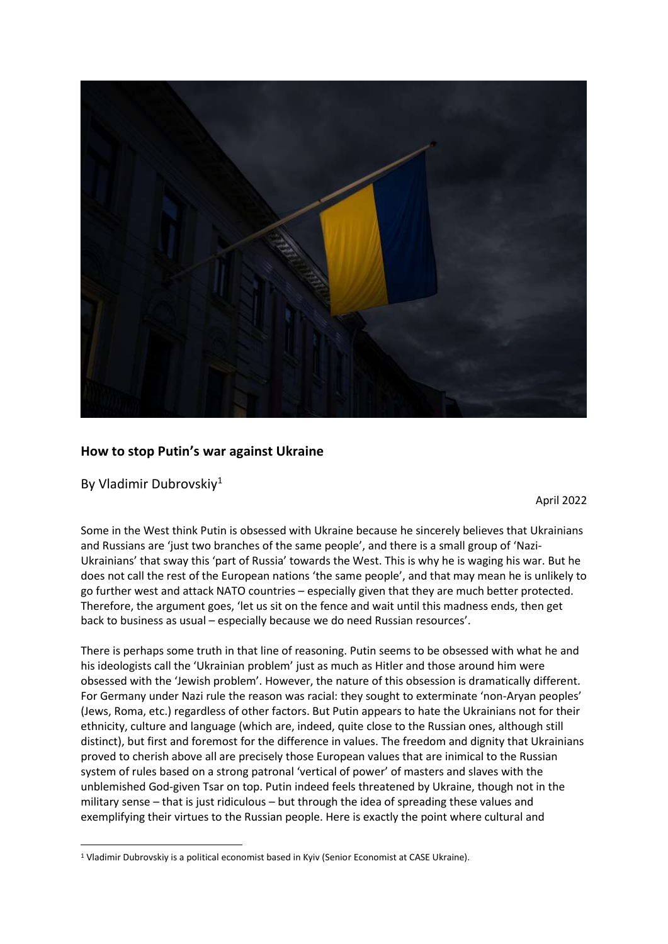

## **How to stop Putin's war against Ukraine**

By Vladimir Dubrovskiy<sup>1</sup>

1

April 2022

Some in the West think Putin is obsessed with Ukraine because he sincerely believes that Ukrainians and Russians are 'just two branches of the same people', and there is a small group of 'Nazi-Ukrainians' that sway this 'part of Russia' towards the West. This is why he is waging his war. But he does not call the rest of the European nations 'the same people', and that may mean he is unlikely to go further west and attack NATO countries – especially given that they are much better protected. Therefore, the argument goes, 'let us sit on the fence and wait until this madness ends, then get back to business as usual – especially because we do need Russian resources'.

There is perhaps some truth in that line of reasoning. Putin seems to be obsessed with what he and his ideologists call the 'Ukrainian problem' just as much as Hitler and those around him were obsessed with the 'Jewish problem'. However, the nature of this obsession is dramatically different. For Germany under Nazi rule the reason was racial: they sought to exterminate 'non-Aryan peoples' (Jews, Roma, etc.) regardless of other factors. But Putin appears to hate the Ukrainians not for their ethnicity, culture and language (which are, indeed, quite close to the Russian ones, although still distinct), but first and foremost for the difference in values. The freedom and dignity that Ukrainians proved to cherish above all are precisely those European values that are inimical to the Russian system of rules based on a strong patronal 'vertical of power' of masters and slaves with the unblemished God-given Tsar on top. Putin indeed feels threatened by Ukraine, though not in the military sense – that is just ridiculous – but through the idea of spreading these values and exemplifying their virtues to the Russian people. Here is exactly the point where cultural and

<sup>&</sup>lt;sup>1</sup> Vladimir Dubrovskiy is a political economist based in Kyiv (Senior Economist at CASE Ukraine).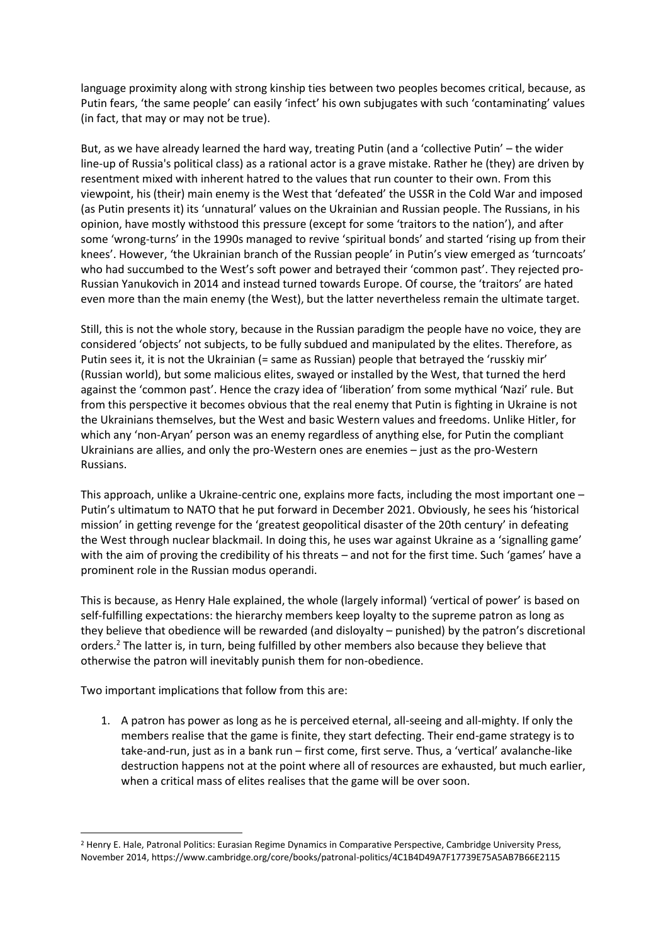language proximity along with strong kinship ties between two peoples becomes critical, because, as Putin fears, 'the same people' can easily 'infect' his own subjugates with such 'contaminating' values (in fact, that may or may not be true).

But, as we have already learned the hard way, treating Putin (and a 'collective Putin' – the wider line-up of Russia's political class) as a rational actor is a grave mistake. Rather he (they) are driven by resentment mixed with inherent hatred to the values that run counter to their own. From this viewpoint, his (their) main enemy is the West that 'defeated' the USSR in the Cold War and imposed (as Putin presents it) its 'unnatural' values on the Ukrainian and Russian people. The Russians, in his opinion, have mostly withstood this pressure (except for some 'traitors to the nation'), and after some 'wrong-turns' in the 1990s managed to revive 'spiritual bonds' and started 'rising up from their knees'. However, 'the Ukrainian branch of the Russian people' in Putin's view emerged as 'turncoats' who had succumbed to the West's soft power and betrayed their 'common past'. They rejected pro-Russian Yanukovich in 2014 and instead turned towards Europe. Of course, the 'traitors' are hated even more than the main enemy (the West), but the latter nevertheless remain the ultimate target.

Still, this is not the whole story, because in the Russian paradigm the people have no voice, they are considered 'objects' not subjects, to be fully subdued and manipulated by the elites. Therefore, as Putin sees it, it is not the Ukrainian (= same as Russian) people that betrayed the 'russkiy mir' (Russian world), but some malicious elites, swayed or installed by the West, that turned the herd against the 'common past'. Hence the crazy idea of 'liberation' from some mythical 'Nazi' rule. But from this perspective it becomes obvious that the real enemy that Putin is fighting in Ukraine is not the Ukrainians themselves, but the West and basic Western values and freedoms. Unlike Hitler, for which any 'non-Aryan' person was an enemy regardless of anything else, for Putin the compliant Ukrainians are allies, and only the pro-Western ones are enemies – just as the pro-Western Russians.

This approach, unlike a Ukraine-centric one, explains more facts, including the most important one – Putin's ultimatum to NATO that he put forward in December 2021. Obviously, he sees his 'historical mission' in getting revenge for the 'greatest geopolitical disaster of the 20th century' in defeating the West through nuclear blackmail. In doing this, he uses war against Ukraine as a 'signalling game' with the aim of proving the credibility of his threats – and not for the first time. Such 'games' have a prominent role in the Russian modus operandi.

This is because, as Henry Hale explained, the whole (largely informal) 'vertical of power' is based on self-fulfilling expectations: the hierarchy members keep loyalty to the supreme patron as long as they believe that obedience will be rewarded (and disloyalty – punished) by the patron's discretional orders.<sup>2</sup> The latter is, in turn, being fulfilled by other members also because they believe that otherwise the patron will inevitably punish them for non-obedience.

Two important implications that follow from this are:

1. A patron has power as long as he is perceived eternal, all-seeing and all-mighty. If only the members realise that the game is finite, they start defecting. Their end-game strategy is to take-and-run, just as in a bank run – first come, first serve. Thus, a 'vertical' avalanche-like destruction happens not at the point where all of resources are exhausted, but much earlier, when a critical mass of elites realises that the game will be over soon.

**<sup>.</sup>** <sup>2</sup> Henry E. Hale, Patronal Politics: Eurasian Regime Dynamics in Comparative Perspective, Cambridge University Press, November 2014[, https://www.cambridge.org/core/books/patronal-politics/4C1B4D49A7F17739E75A5AB7B66E2115](https://www.cambridge.org/core/books/patronal-politics/4C1B4D49A7F17739E75A5AB7B66E2115)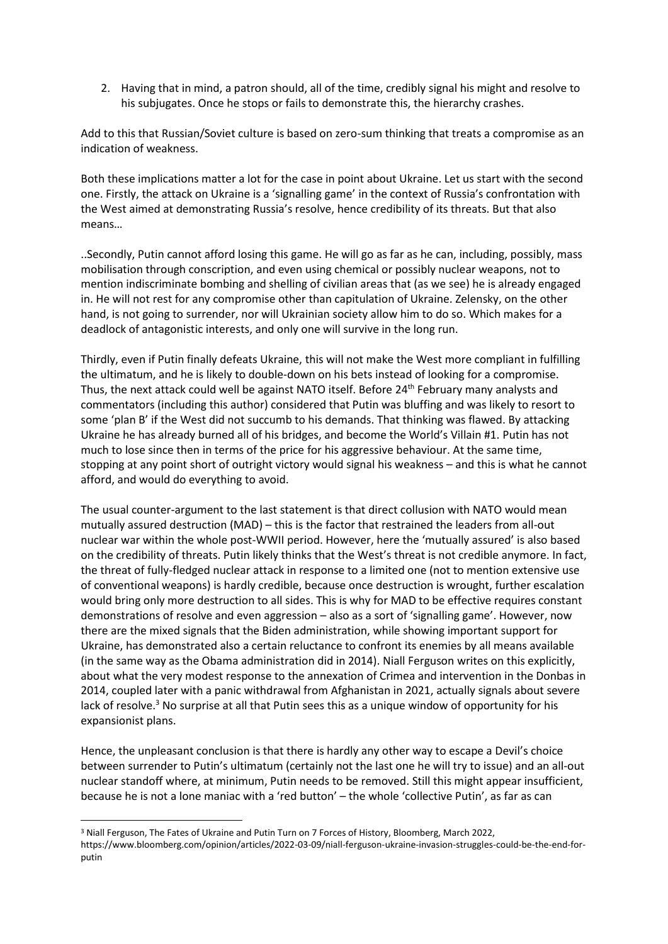2. Having that in mind, a patron should, all of the time, credibly signal his might and resolve to his subjugates. Once he stops or fails to demonstrate this, the hierarchy crashes.

Add to this that Russian/Soviet culture is based on zero-sum thinking that treats a compromise as an indication of weakness.

Both these implications matter a lot for the case in point about Ukraine. Let us start with the second one. Firstly, the attack on Ukraine is a 'signalling game' in the context of Russia's confrontation with the West aimed at demonstrating Russia's resolve, hence credibility of its threats. But that also means…

..Secondly, Putin cannot afford losing this game. He will go as far as he can, including, possibly, mass mobilisation through conscription, and even using chemical or possibly nuclear weapons, not to mention indiscriminate bombing and shelling of civilian areas that (as we see) he is already engaged in. He will not rest for any compromise other than capitulation of Ukraine. Zelensky, on the other hand, is not going to surrender, nor will Ukrainian society allow him to do so. Which makes for a deadlock of antagonistic interests, and only one will survive in the long run.

Thirdly, even if Putin finally defeats Ukraine, this will not make the West more compliant in fulfilling the ultimatum, and he is likely to double-down on his bets instead of looking for a compromise. Thus, the next attack could well be against NATO itself. Before 24th February many analysts and commentators (including this author) considered that Putin was bluffing and was likely to resort to some 'plan B' if the West did not succumb to his demands. That thinking was flawed. By attacking Ukraine he has already burned all of his bridges, and become the World's Villain #1. Putin has not much to lose since then in terms of the price for his aggressive behaviour. At the same time, stopping at any point short of outright victory would signal his weakness – and this is what he cannot afford, and would do everything to avoid.

The usual counter-argument to the last statement is that direct collusion with NATO would mean mutually assured destruction (MAD) – this is the factor that restrained the leaders from all-out nuclear war within the whole post-WWII period. However, here the 'mutually assured' is also based on the credibility of threats. Putin likely thinks that the West's threat is not credible anymore. In fact, the threat of fully-fledged nuclear attack in response to a limited one (not to mention extensive use of conventional weapons) is hardly credible, because once destruction is wrought, further escalation would bring only more destruction to all sides. This is why for MAD to be effective requires constant demonstrations of resolve and even aggression – also as a sort of 'signalling game'. However, now there are the mixed signals that the Biden administration, while showing important support for Ukraine, has demonstrated also a certain reluctance to confront its enemies by all means available (in the same way as the Obama administration did in 2014). Niall Ferguson writes on this explicitly, about what the very modest response to the annexation of Crimea and intervention in the Donbas in 2014, coupled later with a panic withdrawal from Afghanistan in 2021, actually signals about severe lack of resolve.<sup>3</sup> No surprise at all that Putin sees this as a unique window of opportunity for his expansionist plans.

Hence, the unpleasant conclusion is that there is hardly any other way to escape a Devil's choice between surrender to Putin's ultimatum (certainly not the last one he will try to issue) and an all-out nuclear standoff where, at minimum, Putin needs to be removed. Still this might appear insufficient, because he is not a lone maniac with a 'red button' – the whole 'collective Putin', as far as can

**.** 

<sup>&</sup>lt;sup>3</sup> Niall Ferguson, The Fates of Ukraine and Putin Turn on 7 Forces of History, Bloomberg, March 2022, [https://www.bloomberg.com/opinion/articles/2022-03-09/niall-ferguson-ukraine-invasion-struggles-could-be-the-end-for](https://www.bloomberg.com/opinion/articles/2022-03-09/niall-ferguson-ukraine-invasion-struggles-could-be-the-end-for-putin)[putin](https://www.bloomberg.com/opinion/articles/2022-03-09/niall-ferguson-ukraine-invasion-struggles-could-be-the-end-for-putin)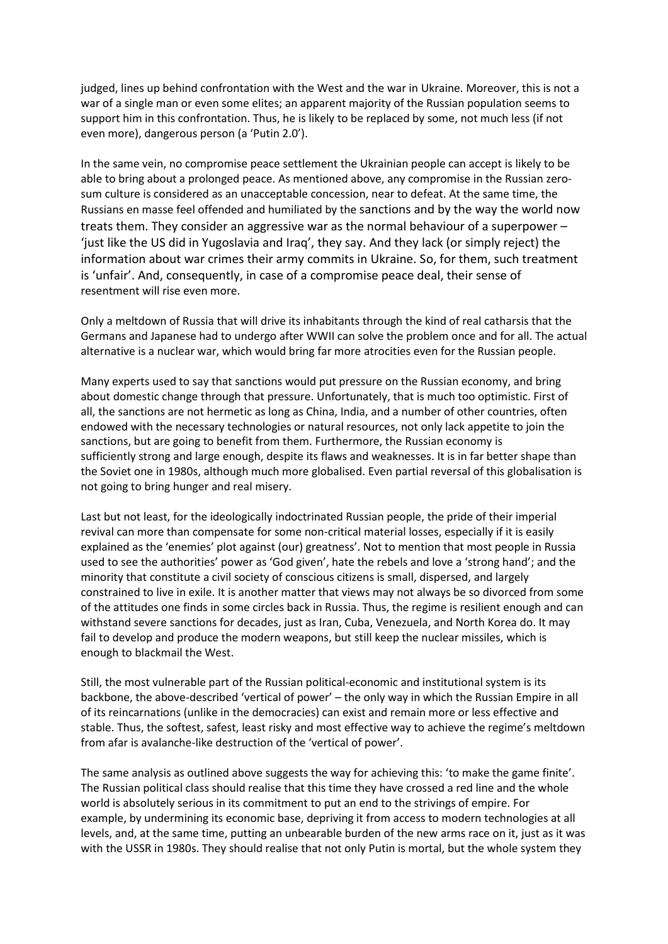judged, lines up behind confrontation with the West and the war in Ukraine. Moreover, this is not a war of a single man or even some elites; an apparent majority of the Russian population seems to support him in this confrontation. Thus, he is likely to be replaced by some, not much less (if not even more), dangerous person (a 'Putin 2.0').

In the same vein, no compromise peace settlement the Ukrainian people can accept is likely to be able to bring about a prolonged peace. As mentioned above, any compromise in the Russian zerosum culture is considered as an unacceptable concession, near to defeat. At the same time, the Russians en masse feel offended and humiliated by the sanctions and by the way the world now treats them. They consider an aggressive war as the normal behaviour of a superpower – 'just like the US did in Yugoslavia and Iraq', they say. And they lack (or simply reject) the information about war crimes their army commits in Ukraine. So, for them, such treatment is 'unfair'. And, consequently, in case of a compromise peace deal, their sense of resentment will rise even more.

Only a meltdown of Russia that will drive its inhabitants through the kind of real catharsis that the Germans and Japanese had to undergo after WWII can solve the problem once and for all. The actual alternative is a nuclear war, which would bring far more atrocities even for the Russian people.

Many experts used to say that sanctions would put pressure on the Russian economy, and bring about domestic change through that pressure. Unfortunately, that is much too optimistic. First of all, the sanctions are not hermetic as long as China, India, and a number of other countries, often endowed with the necessary technologies or natural resources, not only lack appetite to join the sanctions, but are going to benefit from them. Furthermore, the Russian economy is sufficiently strong and large enough, despite its flaws and weaknesses. It is in far better shape than the Soviet one in 1980s, although much more globalised. Even partial reversal of this globalisation is not going to bring hunger and real misery.

Last but not least, for the ideologically indoctrinated Russian people, the pride of their imperial revival can more than compensate for some non-critical material losses, especially if it is easily explained as the 'enemies' plot against (our) greatness'. Not to mention that most people in Russia used to see the authorities' power as 'God given', hate the rebels and love a 'strong hand'; and the minority that constitute a civil society of conscious citizens is small, dispersed, and largely constrained to live in exile. It is another matter that views may not always be so divorced from some of the attitudes one finds in some circles back in Russia. Thus, the regime is resilient enough and can withstand severe sanctions for decades, just as Iran, Cuba, Venezuela, and North Korea do. It may fail to develop and produce the modern weapons, but still keep the nuclear missiles, which is enough to blackmail the West.

Still, the most vulnerable part of the Russian political-economic and institutional system is its backbone, the above-described 'vertical of power' – the only way in which the Russian Empire in all of its reincarnations (unlike in the democracies) can exist and remain more or less effective and stable. Thus, the softest, safest, least risky and most effective way to achieve the regime's meltdown from afar is avalanche-like destruction of the 'vertical of power'.

The same analysis as outlined above suggests the way for achieving this: 'to make the game finite'. The Russian political class should realise that this time they have crossed a red line and the whole world is absolutely serious in its commitment to put an end to the strivings of empire. For example, by undermining its economic base, depriving it from access to modern technologies at all levels, and, at the same time, putting an unbearable burden of the new arms race on it, just as it was with the USSR in 1980s. They should realise that not only Putin is mortal, but the whole system they